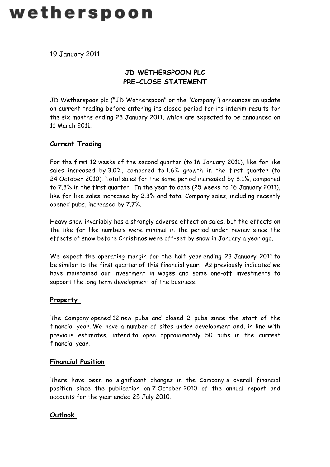# wetherspoon

19 January 2011

# **JD WETHERSPOON PLC PRE-CLOSE STATEMENT**

JD Wetherspoon plc ("JD Wetherspoon" or the "Company") announces an update on current trading before entering its closed period for its interim results for the six months ending 23 January 2011, which are expected to be announced on 11 March 2011.

## **Current Trading**

For the first 12 weeks of the second quarter (to 16 January 2011), like for like sales increased by 3.0%, compared to 1.6% growth in the first quarter (to 24 October 2010). Total sales for the same period increased by 8.1%, compared to 7.3% in the first quarter. In the year to date (25 weeks to 16 January 2011), like for like sales increased by 2.3% and total Company sales, including recently opened pubs, increased by 7.7%.

Heavy snow invariably has a strongly adverse effect on sales, but the effects on the like for like numbers were minimal in the period under review since the effects of snow before Christmas were off-set by snow in January a year ago.

We expect the operating margin for the half year ending 23 January 2011 to be similar to the first quarter of this financial year. As previously indicated we have maintained our investment in wages and some one-off investments to support the long term development of the business.

## **Property**

The Company opened 12 new pubs and closed 2 pubs since the start of the financial year. We have a number of sites under development and, in line with previous estimates, intend to open approximately 50 pubs in the current financial year.

## **Financial Position**

There have been no significant changes in the Company's overall financial position since the publication on 7 October 2010 of the annual report and accounts for the year ended 25 July 2010.

## **Outlook**